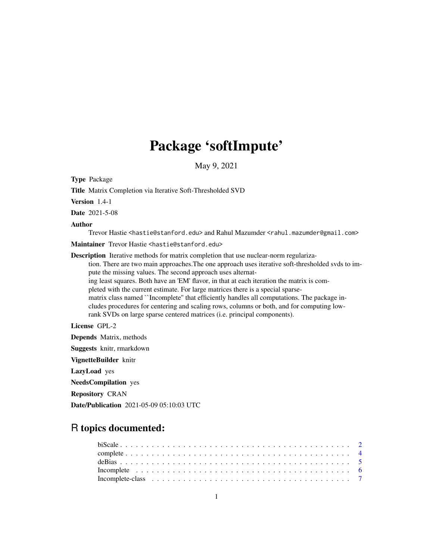# Package 'softImpute'

May 9, 2021

<span id="page-0-0"></span>Type Package

Title Matrix Completion via Iterative Soft-Thresholded SVD

Version 1.4-1

Date 2021-5-08

Author

Trevor Hastie <hastie@stanford.edu> and Rahul Mazumder <rahul.mazumder@gmail.com>

Maintainer Trevor Hastie <hastie@stanford.edu>

Description Iterative methods for matrix completion that use nuclear-norm regulariza-

tion. There are two main approaches.The one approach uses iterative soft-thresholded svds to impute the missing values. The second approach uses alternat-

ing least squares. Both have an 'EM' flavor, in that at each iteration the matrix is com-

pleted with the current estimate. For large matrices there is a special sparse-

matrix class named ``Incomplete'' that efficiently handles all computations. The package includes procedures for centering and scaling rows, columns or both, and for computing lowrank SVDs on large sparse centered matrices (i.e. principal components).

License GPL-2

Depends Matrix, methods

Suggests knitr, rmarkdown

VignetteBuilder knitr

LazyLoad yes

NeedsCompilation yes

Repository CRAN

Date/Publication 2021-05-09 05:10:03 UTC

# R topics documented: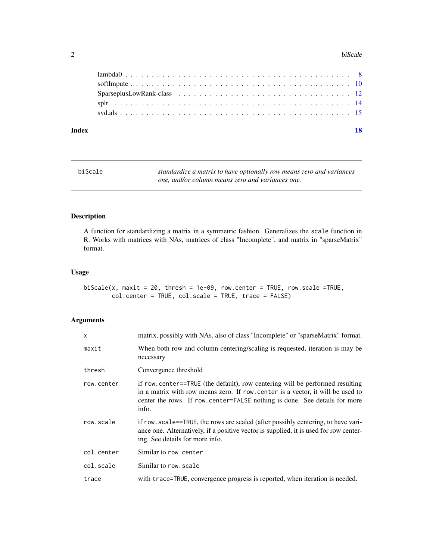#### <span id="page-1-0"></span>2 biScale **biscale** biscale **biscale** biscale **biscale** biscale **biscale** biscale

#### **Index** 2008 **[18](#page-17-0)**

| biScale | standardize a matrix to have optionally row means zero and variances |
|---------|----------------------------------------------------------------------|
|         | one, and/or column means zero and variances one.                     |

# Description

A function for standardizing a matrix in a symmetric fashion. Generalizes the scale function in R. Works with matrices with NAs, matrices of class "Incomplete", and matrix in "sparseMatrix" format.

# Usage

biScale(x, maxit = 20, thresh = 1e-09, row.center = TRUE, row.scale =TRUE, col.center = TRUE, col.scale = TRUE, trace = FALSE)

# Arguments

| X          | matrix, possibly with NAs, also of class "Incomplete" or "sparseMatrix" format.                                                                                                                                                                         |
|------------|---------------------------------------------------------------------------------------------------------------------------------------------------------------------------------------------------------------------------------------------------------|
| maxit      | When both row and column centering/scaling is requested, iteration is may be<br>necessary                                                                                                                                                               |
| thresh     | Convergence threshold                                                                                                                                                                                                                                   |
| row.center | if row center==TRUE (the default), row centering will be performed resulting<br>in a matrix with row means zero. If row, center is a vector, it will be used to<br>center the rows. If row, center=FALSE nothing is done. See details for more<br>info. |
| row.scale  | if row, scale==TRUE, the rows are scaled (after possibly centering, to have vari-<br>ance one. Alternatively, if a positive vector is supplied, it is used for row center-<br>ing. See details for more info.                                           |
| col.center | Similar to row.center                                                                                                                                                                                                                                   |
| col.scale  | Similar to row, scale                                                                                                                                                                                                                                   |
| trace      | with trace=TRUE, convergence progress is reported, when iteration is needed.                                                                                                                                                                            |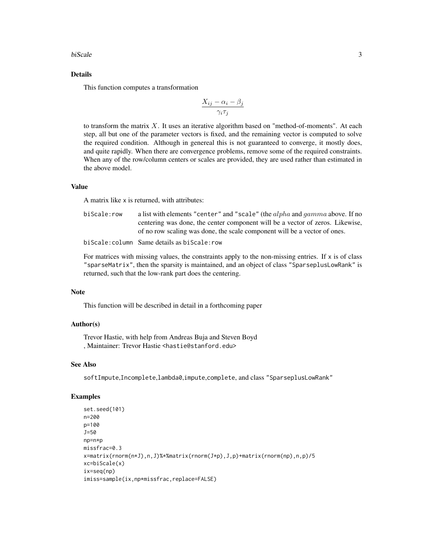#### biScale 3

### Details

This function computes a transformation

$$
\frac{X_{ij} - \alpha_i - \beta_j}{\gamma_i \tau_j}
$$

to transform the matrix X. It uses an iterative algorithm based on "method-of-moments". At each step, all but one of the parameter vectors is fixed, and the remaining vector is computed to solve the required condition. Although in genereal this is not guaranteed to converge, it mostly does, and quite rapidly. When there are convergence problems, remove some of the required constraints. When any of the row/column centers or scales are provided, they are used rather than estimated in the above model.

# Value

A matrix like x is returned, with attributes:

| biScale:row | a list with elements "center" and "scale" (the <i>alpha</i> and <i>gamma</i> above. If no |
|-------------|-------------------------------------------------------------------------------------------|
|             | centering was done, the center component will be a vector of zeros. Likewise,             |
|             | of no row scaling was done, the scale component will be a vector of ones.                 |
|             | biScale:column Same details as biScale:row                                                |

For matrices with missing values, the constraints apply to the non-missing entries. If  $x$  is of class "sparseMatrix", then the sparsity is maintained, and an object of class "SparseplusLowRank" is returned, such that the low-rank part does the centering.

### Note

This function will be described in detail in a forthcoming paper

#### Author(s)

Trevor Hastie, with help from Andreas Buja and Steven Boyd , Maintainer: Trevor Hastie <hastie@stanford.edu>

#### See Also

softImpute,Incomplete,lambda0,impute,complete, and class "SparseplusLowRank"

```
set.seed(101)
n=200
p=100
J=50
np=n*p
missfrac=0.3
x=matrix(rnorm(n*J),n,J)%*%matrix(rnorm(J*p),J,p)+matrix(rnorm(np),n,p)/5
xc=biScale(x)
ix=seq(np)
imiss=sample(ix,np*missfrac,replace=FALSE)
```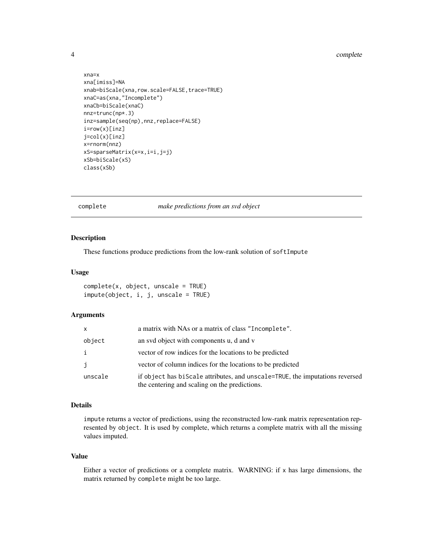#### <span id="page-3-0"></span>4 complete the complete complete  $\sim$

```
xna=x
xna[imiss]=NA
xnab=biScale(xna,row.scale=FALSE,trace=TRUE)
xnaC=as(xna,"Incomplete")
xnaCb=biScale(xnaC)
nnz=trunc(np*.3)
inz=sample(seq(np),nnz,replace=FALSE)
i=row(x)[inz]
j=col(x)[inz]
x=rnorm(nnz)
xS=sparseMatrix(x=x,i=i,j=j)
xSb=biScale(xS)
class(xSb)
```
#### complete *make predictions from an svd object*

#### Description

These functions produce predictions from the low-rank solution of softImpute

# Usage

```
complete(x, object, unscale = TRUE)
impute(object, i, j, unscale = TRUE)
```
#### Arguments

| x       | a matrix with NAs or a matrix of class "Incomplete".                                                                          |
|---------|-------------------------------------------------------------------------------------------------------------------------------|
| object  | an svd object with components u, d and v                                                                                      |
|         | vector of row indices for the locations to be predicted                                                                       |
| j       | vector of column indices for the locations to be predicted                                                                    |
| unscale | if object has biscale attributes, and unscale=TRUE, the imputations reversed<br>the centering and scaling on the predictions. |

#### Details

impute returns a vector of predictions, using the reconstructed low-rank matrix representation represented by object. It is used by complete, which returns a complete matrix with all the missing values imputed.

# Value

Either a vector of predictions or a complete matrix. WARNING: if x has large dimensions, the matrix returned by complete might be too large.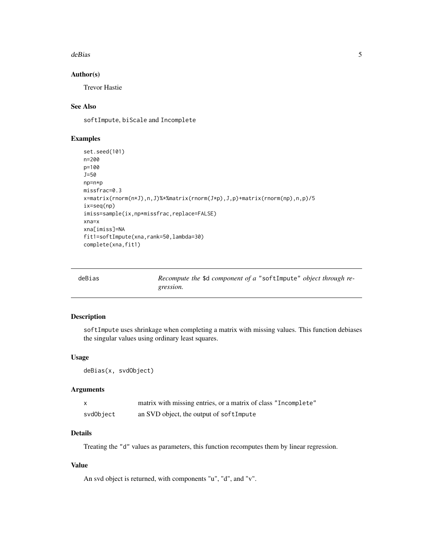#### <span id="page-4-0"></span>deBias 5

# Author(s)

Trevor Hastie

# See Also

softImpute, biScale and Incomplete

# Examples

```
set.seed(101)
n=200
p=100
J=50
np=n*p
missfrac=0.3
x=matrix(rnorm(n*J),n,J)%*%matrix(rnorm(J*p),J,p)+matrix(rnorm(np),n,p)/5
ix=seq(np)
imiss=sample(ix,np*missfrac,replace=FALSE)
xna=x
xna[imiss]=NA
fit1=softImpute(xna,rank=50,lambda=30)
complete(xna,fit1)
```

| deBias | Recompute the \$d component of a "softImpute" object through re- |  |
|--------|------------------------------------------------------------------|--|
|        | gression.                                                        |  |

# Description

softImpute uses shrinkage when completing a matrix with missing values. This function debiases the singular values using ordinary least squares.

# Usage

```
deBias(x, svdObject)
```
#### Arguments

|           | matrix with missing entries, or a matrix of class "Incomplete" |
|-----------|----------------------------------------------------------------|
| svdObject | an SVD object, the output of softImpute                        |

# Details

Treating the "d" values as parameters, this function recomputes them by linear regression.

# Value

An svd object is returned, with components "u", "d", and "v".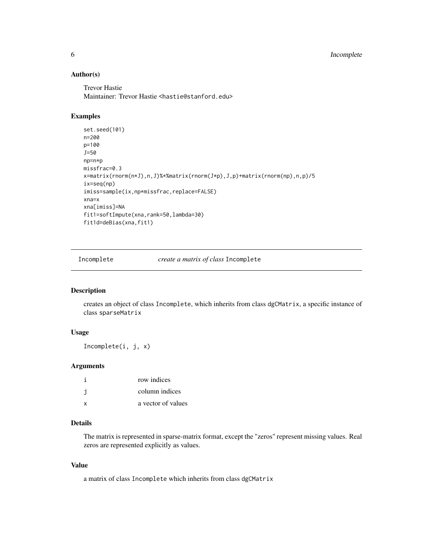# <span id="page-5-0"></span>Author(s)

Trevor Hastie Maintainer: Trevor Hastie <hastie@stanford.edu>

# Examples

```
set.seed(101)
n=200
p=100
J=50
np=n*p
missfrac=0.3
x=matrix(rnorm(n*J),n,J)%*%matrix(rnorm(J*p),J,p)+matrix(rnorm(np),n,p)/5
ix=seq(np)
imiss=sample(ix,np*missfrac,replace=FALSE)
xna=x
xna[imiss]=NA
fit1=softImpute(xna,rank=50,lambda=30)
fit1d=deBias(xna,fit1)
```
Incomplete *create a matrix of class* Incomplete

# Description

creates an object of class Incomplete, which inherits from class dgCMatrix, a specific instance of class sparseMatrix

#### Usage

Incomplete(i, j, x)

# Arguments

|   | row indices        |
|---|--------------------|
|   | column indices     |
| x | a vector of values |

# Details

The matrix is represented in sparse-matrix format, except the "zeros" represent missing values. Real zeros are represented explicitly as values.

#### Value

a matrix of class Incomplete which inherits from class dgCMatrix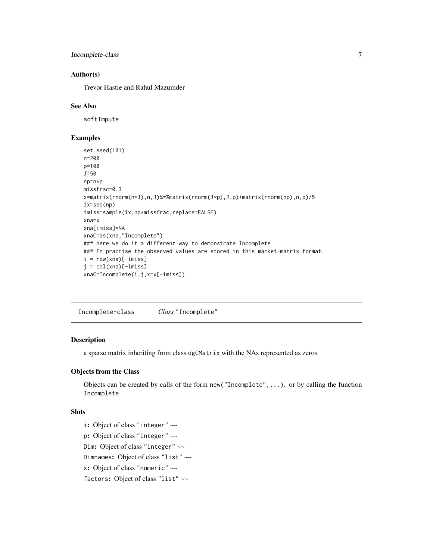<span id="page-6-0"></span>Incomplete-class 7

# Author(s)

Trevor Hastie and Rahul Mazumder

#### See Also

softImpute

#### Examples

```
set.seed(101)
n=200
p=100
J=50
np=n*p
missfrac=0.3
x=matrix(rnorm(n*J),n,J)%*%matrix(rnorm(J*p),J,p)+matrix(rnorm(np),n,p)/5
ix=seq(np)
imiss=sample(ix,np*missfrac,replace=FALSE)
xna=x
xna[imiss]=NA
xnaC=as(xna,"Incomplete")
### here we do it a different way to demonstrate Incomplete
### In practise the observed values are stored in this market-matrix format.
i = row(xna)[-imiss]j = col(xna)[-imiss]xnaC=Incomplete(i,j,x=x[-imiss])
```
Incomplete-class *Class* "Incomplete"

#### Description

a sparse matrix inheriting from class dgCMatrix with the NAs represented as zeros

#### Objects from the Class

Objects can be created by calls of the form new("Incomplete",...). or by calling the function Incomplete

#### Slots

i: Object of class "integer" ~~ p: Object of class "integer" ~~ Dim: Object of class "integer" ~~ Dimnames: Object of class "list" ~~ x: Object of class "numeric" ~~ factors: Object of class "list" ~~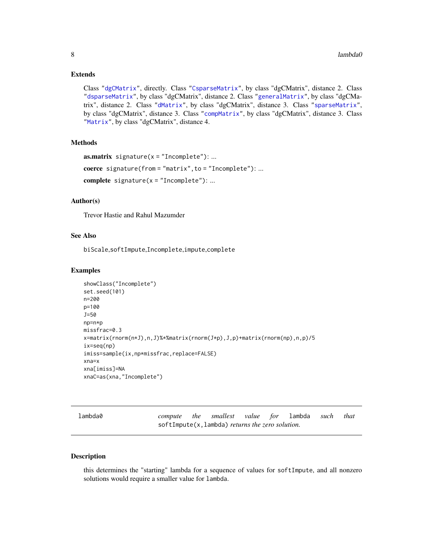#### <span id="page-7-0"></span>Extends

Class ["dgCMatrix"](#page-0-0), directly. Class ["CsparseMatrix"](#page-0-0), by class "dgCMatrix", distance 2. Class ["dsparseMatrix"](#page-0-0), by class "dgCMatrix", distance 2. Class ["generalMatrix"](#page-0-0), by class "dgCMatrix", distance 2. Class ["dMatrix"](#page-0-0), by class "dgCMatrix", distance 3. Class ["sparseMatrix"](#page-0-0), by class "dgCMatrix", distance 3. Class ["compMatrix"](#page-0-0), by class "dgCMatrix", distance 3. Class ["Matrix"](#page-0-0), by class "dgCMatrix", distance 4.

#### Methods

```
as.matrix signature(x = "Incomplete"): ...
coerce signature(from = "matrix", to = "Incomplete"): ...
complete signature(x = "Incomplete"): ...
```
#### Author(s)

Trevor Hastie and Rahul Mazumder

#### See Also

biScale,softImpute,Incomplete,impute,complete

#### Examples

```
showClass("Incomplete")
set.seed(101)
n=200
p=100
J=50
np=n*p
missfrac=0.3
x=matrix(rnorm(n*J),n,J)%*%matrix(rnorm(J*p),J,p)+matrix(rnorm(np),n,p)/5
ix=seq(np)
imiss=sample(ix,np*missfrac,replace=FALSE)
xna=x
xna[imiss]=NA
xnaC=as(xna,"Incomplete")
```

| lambda0 |  |
|---------|--|
|         |  |

*compute the smallest value for* lambda *such that* softImpute(x,lambda) *returns the zero solution.*

#### Description

this determines the "starting" lambda for a sequence of values for softImpute, and all nonzero solutions would require a smaller value for lambda.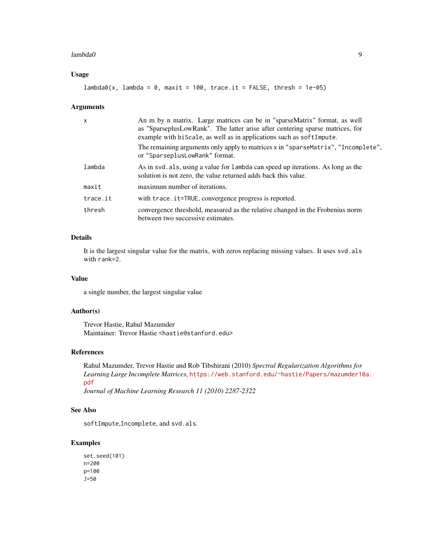#### lambda0 9

# Usage

```
lambda@(x, lambda = 0, maxit = 100, trace.it = FALSE, thresh = 1e-05)
```
#### Arguments

| $\mathsf{x}$ | An m by n matrix. Large matrices can be in "sparseMatrix" format, as well<br>as "SparseplusLowRank". The latter arise after centering sparse matrices, for<br>example with biscale, as well as in applications such as soft Impute. |
|--------------|-------------------------------------------------------------------------------------------------------------------------------------------------------------------------------------------------------------------------------------|
|              | The remaining arguments only apply to matrices x in "sparseMatrix", "Incomplete",<br>or "SparseplusLowRank" format.                                                                                                                 |
| lambda       | As in svd. als, using a value for lambda can speed up iterations. As long as the<br>solution is not zero, the value returned adds back this value.                                                                                  |
| maxit        | maximum number of iterations.                                                                                                                                                                                                       |
| trace.it     | with trace.it=TRUE, convergence progress is reported.                                                                                                                                                                               |
| thresh       | convergence threshold, measured as the relative changed in the Frobenius norm<br>between two successive estimates.                                                                                                                  |

# Details

It is the largest singular value for the matrix, with zeros replacing missing values. It uses svd.als with rank=2.

# Value

a single number, the largest singular value

# Author(s)

Trevor Hastie, Rahul Mazumder Maintainer: Trevor Hastie <hastie@stanford.edu>

#### References

Rahul Mazumder, Trevor Hastie and Rob Tibshirani (2010) *Spectral Regularization Algorithms for Learning Large Incomplete Matrices*, [https://web.stanford.edu/~hastie/Papers/mazumder10](https://web.stanford.edu/~hastie/Papers/mazumder10a.pdf)a. [pdf](https://web.stanford.edu/~hastie/Papers/mazumder10a.pdf)

*Journal of Machine Learning Research 11 (2010) 2287-2322*

#### See Also

softImpute,Incomplete, and svd.als.

```
set.seed(101)
n=200
p=100
J=50
```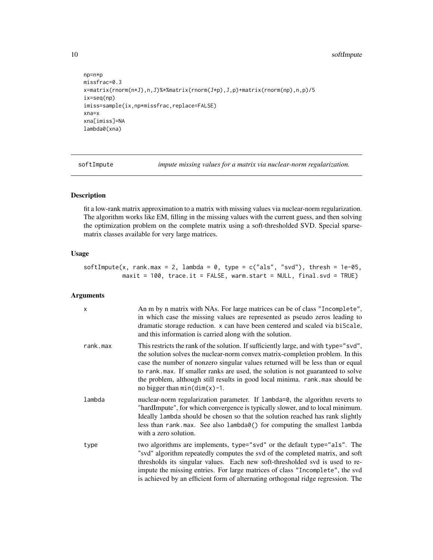<span id="page-9-0"></span>10 softImpute

```
np=n*p
missfrac=0.3
x=matrix(rnorm(n*J),n,J)%*%matrix(rnorm(J*p),J,p)+matrix(rnorm(np),n,p)/5
ix=seq(np)
imiss=sample(ix,np*missfrac,replace=FALSE)
xna=x
xna[imiss]=NA
lambda0(xna)
```
softImpute *impute missing values for a matrix via nuclear-norm regularization.*

#### Description

fit a low-rank matrix approximation to a matrix with missing values via nuclear-norm regularization. The algorithm works like EM, filling in the missing values with the current guess, and then solving the optimization problem on the complete matrix using a soft-thresholded SVD. Special sparsematrix classes available for very large matrices.

#### Usage

softImpute(x, rank.max = 2, lambda = 0, type =  $c("als", "svd"),$  thresh = 1e-05, maxit = 100, trace.it = FALSE, warm.start = NULL, final.svd = TRUE)

# Arguments

| $\mathsf{x}$ | An m by n matrix with NAs. For large matrices can be of class "Incomplete",<br>in which case the missing values are represented as pseudo zeros leading to<br>dramatic storage reduction. x can have been centered and scaled via biScale,<br>and this information is carried along with the solution.                                                                                                                                                          |
|--------------|-----------------------------------------------------------------------------------------------------------------------------------------------------------------------------------------------------------------------------------------------------------------------------------------------------------------------------------------------------------------------------------------------------------------------------------------------------------------|
| rank.max     | This restricts the rank of the solution. If sufficiently large, and with type="svd",<br>the solution solves the nuclear-norm convex matrix-completion problem. In this<br>case the number of nonzero singular values returned will be less than or equal<br>to rank.max. If smaller ranks are used, the solution is not guaranteed to solve<br>the problem, although still results in good local minima. rank. max should be<br>no bigger than $min(dim(x)-1$ . |
| lambda       | nuclear-norm regularization parameter. If lambda=0, the algorithm reverts to<br>"hardImpute", for which convergence is typically slower, and to local minimum.<br>Ideally lambda should be chosen so that the solution reached has rank slightly<br>less than rank max. See also lambda0() for computing the smallest lambda<br>with a zero solution.                                                                                                           |
| type         | two algorithms are implements, type="svd" or the default type="als". The<br>"svd" algorithm repeatedly computes the svd of the completed matrix, and soft<br>thresholds its singular values. Each new soft-thresholded svd is used to re-<br>impute the missing entries. For large matrices of class "Incomplete", the svd<br>is achieved by an efficient form of alternating orthogonal ridge regression. The                                                  |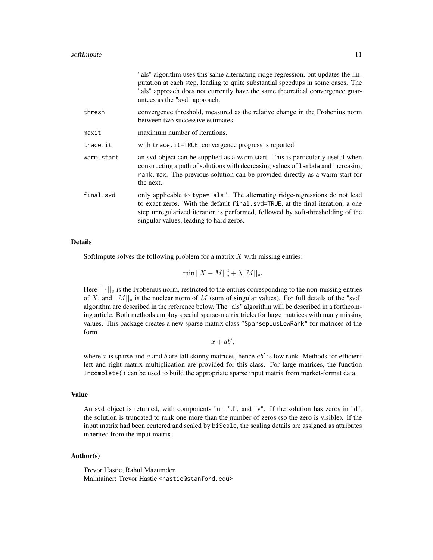|            | "als" algorithm uses this same alternating ridge regression, but updates the im-<br>putation at each step, leading to quite substantial speedups in some cases. The<br>"als" approach does not currently have the same theoretical convergence guar-<br>antees as the "svd" approach.        |
|------------|----------------------------------------------------------------------------------------------------------------------------------------------------------------------------------------------------------------------------------------------------------------------------------------------|
| thresh     | convergence threshold, measured as the relative change in the Frobenius norm<br>between two successive estimates.                                                                                                                                                                            |
| maxit      | maximum number of iterations.                                                                                                                                                                                                                                                                |
| trace.it   | with trace.it=TRUE, convergence progress is reported.                                                                                                                                                                                                                                        |
| warm.start | an svd object can be supplied as a warm start. This is particularly useful when<br>constructing a path of solutions with decreasing values of lambda and increasing<br>rank . max. The previous solution can be provided directly as a warm start for<br>the next.                           |
| final.svd  | only applicable to type="als". The alternating ridge-regressions do not lead<br>to exact zeros. With the default final.svd=TRUE, at the final iteration, a one<br>step unregularized iteration is performed, followed by soft-thresholding of the<br>singular values, leading to hard zeros. |

#### Details

SoftImpute solves the following problem for a matrix  $X$  with missing entries:

 $\min ||X - M||_o^2 + \lambda ||M||_*$ .

Here  $|| \cdot ||_o$  is the Frobenius norm, restricted to the entries corresponding to the non-missing entries of X, and  $||M||_*$  is the nuclear norm of M (sum of singular values). For full details of the "svd" algorithm are described in the reference below. The "als" algorithm will be described in a forthcoming article. Both methods employ special sparse-matrix tricks for large matrices with many missing values. This package creates a new sparse-matrix class "SparseplusLowRank" for matrices of the form

 $x + ab',$ 

where x is sparse and a and b are tall skinny matrices, hence  $ab'$  is low rank. Methods for efficient left and right matrix multiplication are provided for this class. For large matrices, the function Incomplete() can be used to build the appropriate sparse input matrix from market-format data.

#### Value

An svd object is returned, with components "u", "d", and "v". If the solution has zeros in "d", the solution is truncated to rank one more than the number of zeros (so the zero is visible). If the input matrix had been centered and scaled by biScale, the scaling details are assigned as attributes inherited from the input matrix.

#### Author(s)

Trevor Hastie, Rahul Mazumder Maintainer: Trevor Hastie <hastie@stanford.edu>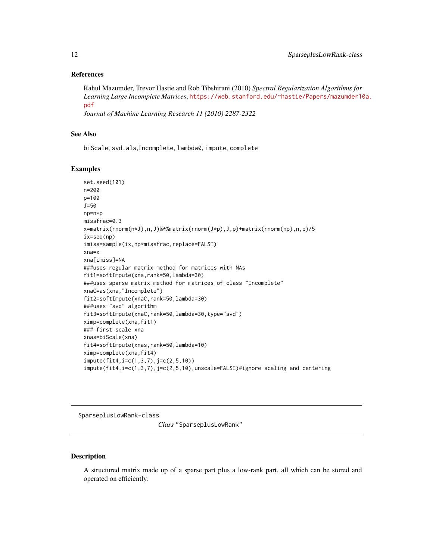#### <span id="page-11-0"></span>References

Rahul Mazumder, Trevor Hastie and Rob Tibshirani (2010) *Spectral Regularization Algorithms for Learning Large Incomplete Matrices*, [https://web.stanford.edu/~hastie/Papers/mazumder10](https://web.stanford.edu/~hastie/Papers/mazumder10a.pdf)a. [pdf](https://web.stanford.edu/~hastie/Papers/mazumder10a.pdf)

*Journal of Machine Learning Research 11 (2010) 2287-2322*

### See Also

biScale, svd.als,Incomplete, lambda0, impute, complete

#### Examples

```
set.seed(101)
n=200
p=100
J=50
np=n*p
missfrac=0.3
x=matrix(rnorm(n*J),n,J)%*%matrix(rnorm(J*p),J,p)+matrix(rnorm(np),n,p)/5
ix=seq(np)
imiss=sample(ix,np*missfrac,replace=FALSE)
xna=x
xna[imiss]=NA
###uses regular matrix method for matrices with NAs
fit1=softImpute(xna,rank=50,lambda=30)
###uses sparse matrix method for matrices of class "Incomplete"
xnaC=as(xna,"Incomplete")
fit2=softImpute(xnaC,rank=50,lambda=30)
###uses "svd" algorithm
fit3=softImpute(xnaC,rank=50,lambda=30,type="svd")
ximp=complete(xna,fit1)
### first scale xna
xnas=biScale(xna)
fit4=softImpute(xnas,rank=50,lambda=10)
ximp=complete(xna,fit4)
impute(fit4,i=c(1,3,7),j=c(2,5,10))
impute(fit4,i=c(1,3,7),j=c(2,5,10),unscale=FALSE)#ignore scaling and centering
```
SparseplusLowRank-class

*Class* "SparseplusLowRank"

#### Description

A structured matrix made up of a sparse part plus a low-rank part, all which can be stored and operated on efficiently.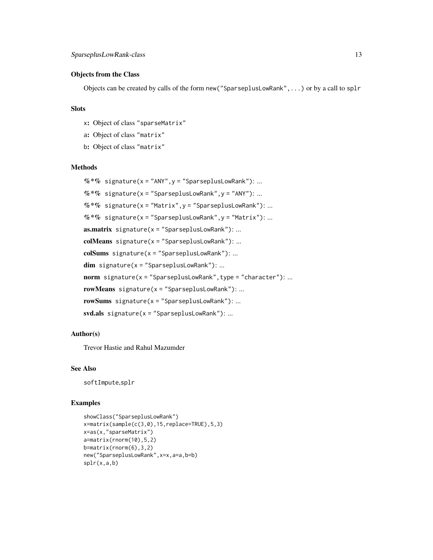#### Objects from the Class

Objects can be created by calls of the form new("SparseplusLowRank",...) or by a call to splr

# Slots

- x: Object of class "sparseMatrix"
- a: Object of class "matrix"
- b: Object of class "matrix"

# Methods

```
% *% signature(x = "ANY", y = "SparseplusLowRank"): ...
% *% signature(x = "SparseplusLowRank", y = "ANY"): ...
% *% signature(x = "Matrix", y = "SparseplusLowRank"): ...
% *% signature(x = "SparseplusLowRank", y = "Matrix"): ...
\textbf{as}.\textbf{matrix} \text{ signature}(\textbf{x} = \text{"SparseplusLowRank"}): ...colMeans signature(x ="SparseplusLowRank"): ...
colSums signature(x = "SparseplusLowRank"): ...
dim signature(x ="SparseplusLowRank"): ...
norm signature(x = "SparseplusLowRank", type = "character"): ...
rowMeans signature(x ="SparseplusLowRank"): ...
rowSums signature(x = "SparseplusLowRank"): ...
svd.als signature(x ="SparseplusLowRank"): ...
```
#### Author(s)

Trevor Hastie and Rahul Mazumder

#### See Also

softImpute,splr

```
showClass("SparseplusLowRank")
x=matrix(sample(c(3,0),15,replace=TRUE),5,3)
x=as(x,"sparseMatrix")
a=matrix(rnorm(10),5,2)
b=matrix(rnorm(6),3,2)
new("SparseplusLowRank",x=x,a=a,b=b)
splr(x,a,b)
```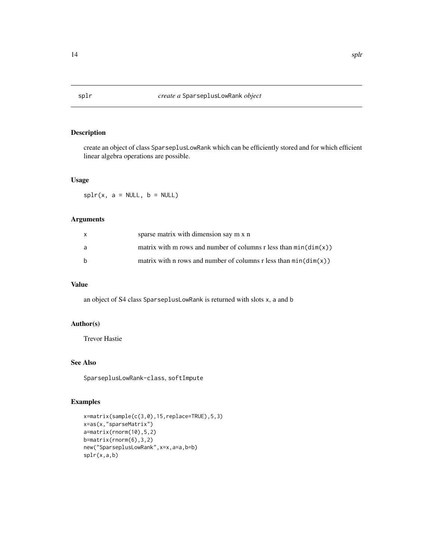#### Description

create an object of class SparseplusLowRank which can be efficiently stored and for which efficient linear algebra operations are possible.

#### Usage

 $splr(x, a = NULL, b = NULL)$ 

#### Arguments

| X            | sparse matrix with dimension say m x n                             |
|--------------|--------------------------------------------------------------------|
| a            | matrix with m rows and number of columns r less than $min(dim(x))$ |
| <sub>b</sub> | matrix with n rows and number of columns r less than $min(dim(x))$ |

# Value

an object of S4 class SparseplusLowRank is returned with slots x, a and b

# Author(s)

Trevor Hastie

# See Also

SparseplusLowRank-class, softImpute

```
x=matrix(sample(c(3,0),15,replace=TRUE),5,3)
x=as(x,"sparseMatrix")
a=matrix(rnorm(10),5,2)
b=matrix(rnorm(6),3,2)
new("SparseplusLowRank",x=x,a=a,b=b)
splr(x,a,b)
```
<span id="page-13-0"></span>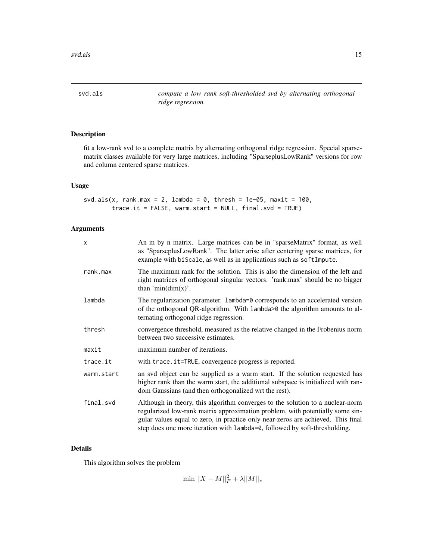<span id="page-14-0"></span>svd.als *compute a low rank soft-thresholded svd by alternating orthogonal ridge regression*

# Description

fit a low-rank svd to a complete matrix by alternating orthogonal ridge regression. Special sparsematrix classes available for very large matrices, including "SparseplusLowRank" versions for row and column centered sparse matrices.

# Usage

```
svd.als(x, rank.max = 2, lambda = 0, thresh = 1e-05, maxit = 100,
       trace.it = FALSE, warm.start = NULL, final.svd = TRUE)
```
# Arguments

| $\boldsymbol{\mathsf{x}}$ | An m by n matrix. Large matrices can be in "sparseMatrix" format, as well<br>as "SparseplusLowRank". The latter arise after centering sparse matrices, for<br>example with biScale, as well as in applications such as softImpute.                                                                                                |
|---------------------------|-----------------------------------------------------------------------------------------------------------------------------------------------------------------------------------------------------------------------------------------------------------------------------------------------------------------------------------|
| rank.max                  | The maximum rank for the solution. This is also the dimension of the left and<br>right matrices of orthogonal singular vectors. 'rank.max' should be no bigger<br>than 'min $(\text{dim}(x))$ '.                                                                                                                                  |
| lambda                    | The regularization parameter. Lambda=0 corresponds to an accelerated version<br>of the orthogonal QR-algorithm. With lambda>0 the algorithm amounts to al-<br>ternating orthogonal ridge regression.                                                                                                                              |
| thresh                    | convergence threshold, measured as the relative changed in the Frobenius norm<br>between two successive estimates.                                                                                                                                                                                                                |
| maxit                     | maximum number of iterations.                                                                                                                                                                                                                                                                                                     |
| trace.it                  | with trace.it=TRUE, convergence progress is reported.                                                                                                                                                                                                                                                                             |
| warm.start                | an svd object can be supplied as a warm start. If the solution requested has<br>higher rank than the warm start, the additional subspace is initialized with ran-<br>dom Gaussians (and then orthogonalized wrt the rest).                                                                                                        |
| final.svd                 | Although in theory, this algorithm converges to the solution to a nuclear-norm<br>regularized low-rank matrix approximation problem, with potentially some sin-<br>gular values equal to zero, in practice only near-zeros are achieved. This final<br>step does one more iteration with lambda=0, followed by soft-thresholding. |

#### Details

This algorithm solves the problem

 $\min ||X - M||_F^2 + \lambda ||M||_*$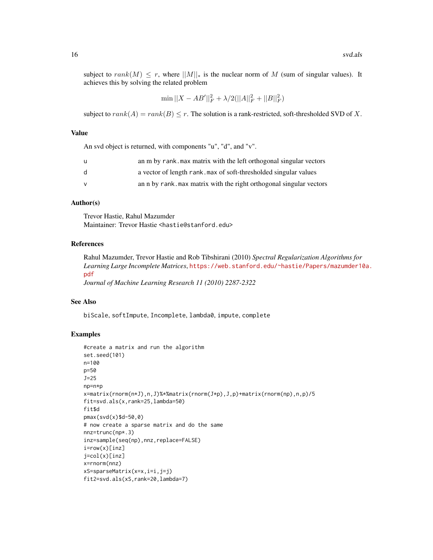subject to rank(M)  $\leq r$ , where  $||M||_*$  is the nuclear norm of M (sum of singular values). It achieves this by solving the related problem

 $\min ||X - AB'||_F^2 + \lambda/2(||A||_F^2 + ||B||_F^2)$ 

subject to  $rank(A) = rank(B) \leq r$ . The solution is a rank-restricted, soft-thresholded SVD of X.

#### Value

An svd object is returned, with components "u", "d", and "v".

| u            | an m by rank. max matrix with the left orthogonal singular vectors |
|--------------|--------------------------------------------------------------------|
| <sub>d</sub> | a vector of length rank, max of soft-thresholded singular values   |
| v            | an n by rank max matrix with the right orthogonal singular vectors |

#### Author(s)

Trevor Hastie, Rahul Mazumder Maintainer: Trevor Hastie <hastie@stanford.edu>

#### References

Rahul Mazumder, Trevor Hastie and Rob Tibshirani (2010) *Spectral Regularization Algorithms for Learning Large Incomplete Matrices*, [https://web.stanford.edu/~hastie/Papers/mazumder10](https://web.stanford.edu/~hastie/Papers/mazumder10a.pdf)a. [pdf](https://web.stanford.edu/~hastie/Papers/mazumder10a.pdf)

*Journal of Machine Learning Research 11 (2010) 2287-2322*

#### See Also

biScale, softImpute, Incomplete, lambda0, impute, complete

```
#create a matrix and run the algorithm
set.seed(101)
n=100
p=50
J=25
np=n*p
x=matrix(rnorm(n*J),n,J)%*%matrix(rnorm(J*p),J,p)+matrix(rnorm(np),n,p)/5
fit=svd.als(x,rank=25,lambda=50)
fit$d
pmax(svd(x)$d-50,0)
# now create a sparse matrix and do the same
nnz=trunc(np*.3)
inz=sample(seq(np),nnz,replace=FALSE)
i=row(x)[inz]
j=col(x)[inz]
x=rnorm(nnz)
xS=sparseMatrix(x=x,i=i,j=j)
fit2=svd.als(xS,rank=20,lambda=7)
```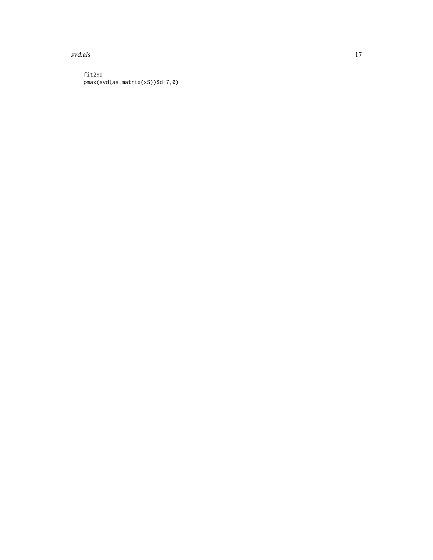svd.als and the state of the state of the state of the state of the state of the state of the state of the state of the state of the state of the state of the state of the state of the state of the state of the state of th

fit2\$d pmax(svd(as.matrix(xS))\$d-7,0)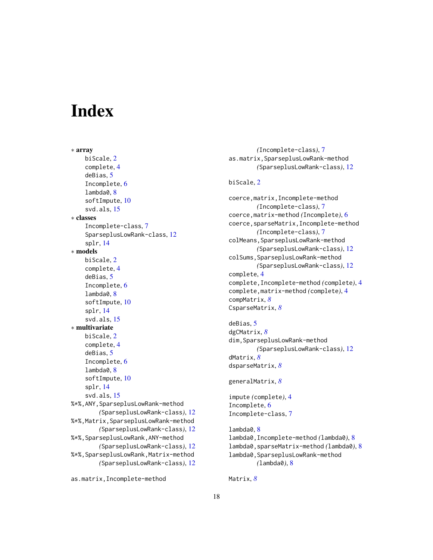# <span id="page-17-0"></span>**Index**

∗ array biScale, [2](#page-1-0) complete, [4](#page-3-0) deBias, [5](#page-4-0) Incomplete, [6](#page-5-0) lambda0, [8](#page-7-0) softImpute, [10](#page-9-0) svd.als, [15](#page-14-0) ∗ classes Incomplete-class, [7](#page-6-0) SparseplusLowRank-class, [12](#page-11-0) splr, [14](#page-13-0) ∗ models biScale, [2](#page-1-0) complete, [4](#page-3-0) deBias, [5](#page-4-0) Incomplete, [6](#page-5-0) lambda0, [8](#page-7-0) softImpute, [10](#page-9-0) splr, [14](#page-13-0) svd.als, [15](#page-14-0) ∗ multivariate biScale, [2](#page-1-0) complete, [4](#page-3-0) deBias, [5](#page-4-0) Incomplete, [6](#page-5-0) lambda0, [8](#page-7-0) softImpute, [10](#page-9-0) splr, [14](#page-13-0) svd.als, [15](#page-14-0) %\*%,ANY,SparseplusLowRank-method *(*SparseplusLowRank-class*)*, [12](#page-11-0) %\*%,Matrix,SparseplusLowRank-method *(*SparseplusLowRank-class*)*, [12](#page-11-0) %\*%,SparseplusLowRank,ANY-method *(*SparseplusLowRank-class*)*, [12](#page-11-0) %\*%,SparseplusLowRank,Matrix-method *(*SparseplusLowRank-class*)*, [12](#page-11-0)

```
as.matrix,Incomplete-method
```
*(*Incomplete-class*)*, [7](#page-6-0) as.matrix,SparseplusLowRank-method *(*SparseplusLowRank-class*)*, [12](#page-11-0)

### biScale, [2](#page-1-0)

coerce,matrix,Incomplete-method *(*Incomplete-class*)*, [7](#page-6-0) coerce,matrix-method *(*Incomplete*)*, [6](#page-5-0) coerce,sparseMatrix,Incomplete-method *(*Incomplete-class*)*, [7](#page-6-0) colMeans,SparseplusLowRank-method *(*SparseplusLowRank-class*)*, [12](#page-11-0) colSums, SparseplusLowRank-method *(*SparseplusLowRank-class*)*, [12](#page-11-0) complete, [4](#page-3-0) complete,Incomplete-method *(*complete*)*, [4](#page-3-0) complete,matrix-method *(*complete*)*, [4](#page-3-0) compMatrix, *[8](#page-7-0)* CsparseMatrix, *[8](#page-7-0)*

deBias, [5](#page-4-0) dgCMatrix, *[8](#page-7-0)* dim,SparseplusLowRank-method *(*SparseplusLowRank-class*)*, [12](#page-11-0) dMatrix, *[8](#page-7-0)* dsparseMatrix, *[8](#page-7-0)*

```
generalMatrix, 8
```
impute *(*complete*)*, [4](#page-3-0) Incomplete, [6](#page-5-0) Incomplete-class, [7](#page-6-0)

lambda0, [8](#page-7-0) lambda0,Incomplete-method *(*lambda0*)*, [8](#page-7-0) lambda0,sparseMatrix-method *(*lambda0*)*, [8](#page-7-0) lambda0,SparseplusLowRank-method *(*lambda0*)*, [8](#page-7-0)

Matrix, *[8](#page-7-0)*